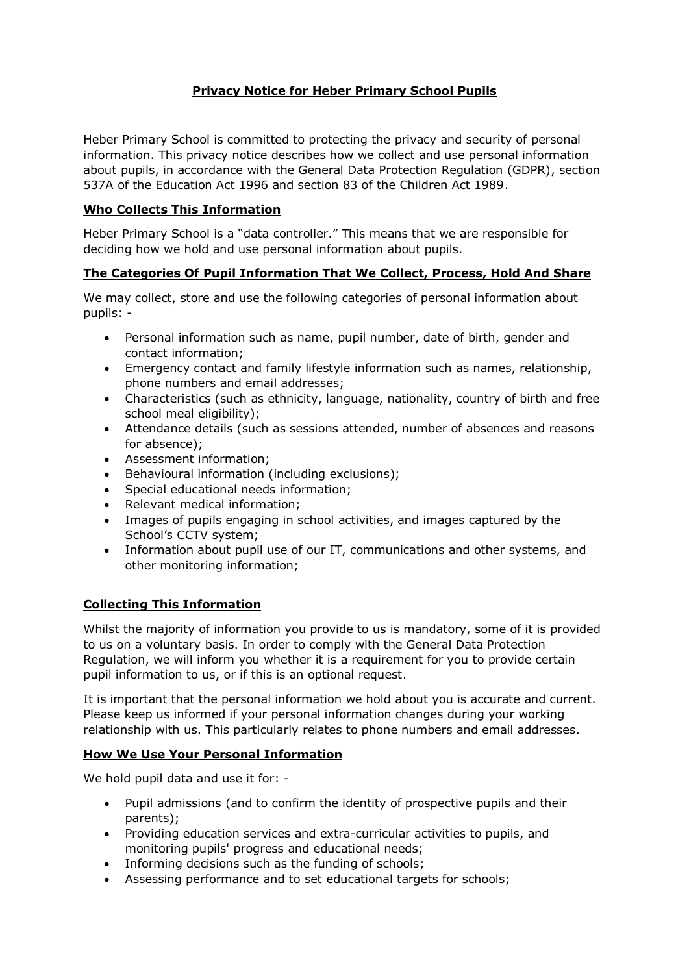# **Privacy Notice for Heber Primary School Pupils**

Heber Primary School is committed to protecting the privacy and security of personal information. This privacy notice describes how we collect and use personal information about pupils, in accordance with the General Data Protection Regulation (GDPR), section 537A of the Education Act 1996 and section 83 of the Children Act 1989.

### **Who Collects This Information**

Heber Primary School is a "data controller." This means that we are responsible for deciding how we hold and use personal information about pupils.

### **The Categories Of Pupil Information That We Collect, Process, Hold And Share**

We may collect, store and use the following categories of personal information about pupils: -

- Personal information such as name, pupil number, date of birth, gender and contact information;
- Emergency contact and family lifestyle information such as names, relationship, phone numbers and email addresses;
- Characteristics (such as ethnicity, language, nationality, country of birth and free school meal eligibility);
- Attendance details (such as sessions attended, number of absences and reasons for absence);
- Assessment information;
- Behavioural information (including exclusions);
- Special educational needs information;
- Relevant medical information;
- Images of pupils engaging in school activities, and images captured by the School's CCTV system;
- Information about pupil use of our IT, communications and other systems, and other monitoring information;

# **Collecting This Information**

Whilst the majority of information you provide to us is mandatory, some of it is provided to us on a voluntary basis. In order to comply with the General Data Protection Regulation, we will inform you whether it is a requirement for you to provide certain pupil information to us, or if this is an optional request.

It is important that the personal information we hold about you is accurate and current. Please keep us informed if your personal information changes during your working relationship with us. This particularly relates to phone numbers and email addresses.

# **How We Use Your Personal Information**

We hold pupil data and use it for: -

- Pupil admissions (and to confirm the identity of prospective pupils and their parents);
- Providing education services and extra-curricular activities to pupils, and monitoring pupils' progress and educational needs;
- Informing decisions such as the funding of schools;
- Assessing performance and to set educational targets for schools;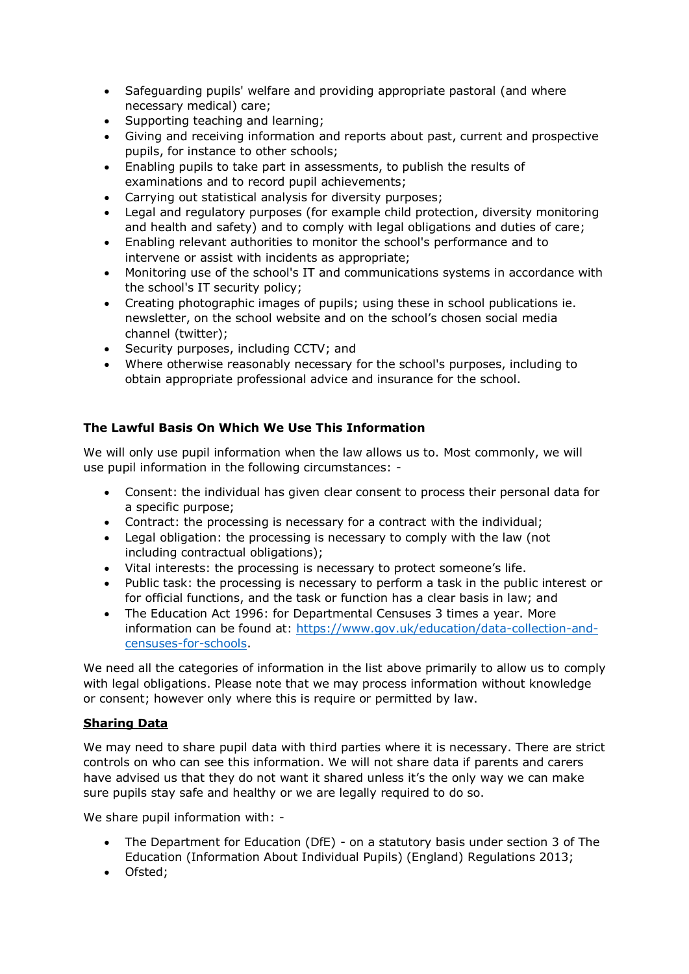- Safeguarding pupils' welfare and providing appropriate pastoral (and where necessary medical) care;
- Supporting teaching and learning;
- Giving and receiving information and reports about past, current and prospective pupils, for instance to other schools;
- Enabling pupils to take part in assessments, to publish the results of examinations and to record pupil achievements;
- Carrying out statistical analysis for diversity purposes;
- Legal and regulatory purposes (for example child protection, diversity monitoring and health and safety) and to comply with legal obligations and duties of care;
- Enabling relevant authorities to monitor the school's performance and to intervene or assist with incidents as appropriate;
- Monitoring use of the school's IT and communications systems in accordance with the school's IT security policy;
- Creating photographic images of pupils; using these in school publications ie. newsletter, on the school website and on the school's chosen social media channel (twitter);
- Security purposes, including CCTV; and
- Where otherwise reasonably necessary for the school's purposes, including to obtain appropriate professional advice and insurance for the school.

# **The Lawful Basis On Which We Use This Information**

We will only use pupil information when the law allows us to. Most commonly, we will use pupil information in the following circumstances: -

- Consent: the individual has given clear consent to process their personal data for a specific purpose;
- Contract: the processing is necessary for a contract with the individual;
- Legal obligation: the processing is necessary to comply with the law (not including contractual obligations);
- Vital interests: the processing is necessary to protect someone's life.
- Public task: the processing is necessary to perform a task in the public interest or for official functions, and the task or function has a clear basis in law; and
- The Education Act 1996: for Departmental Censuses 3 times a year. More information can be found at: [https://www.gov.uk/education/data-collection-and](https://www.gov.uk/education/data-collection-and-censuses-for-schools)[censuses-for-schools.](https://www.gov.uk/education/data-collection-and-censuses-for-schools)

We need all the categories of information in the list above primarily to allow us to comply with legal obligations. Please note that we may process information without knowledge or consent; however only where this is require or permitted by law.

# **Sharing Data**

We may need to share pupil data with third parties where it is necessary. There are strict controls on who can see this information. We will not share data if parents and carers have advised us that they do not want it shared unless it's the only way we can make sure pupils stay safe and healthy or we are legally required to do so.

We share pupil information with: -

- The Department for Education (DfE) on a statutory basis under section 3 of The Education (Information About Individual Pupils) (England) Regulations 2013;
- Ofsted;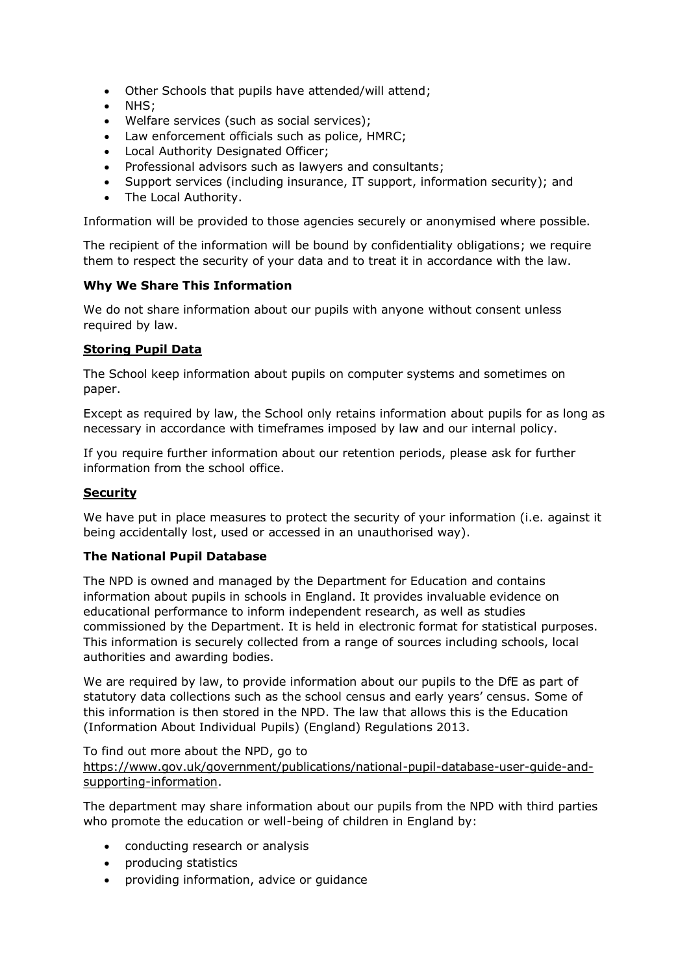- Other Schools that pupils have attended/will attend;
- NHS;
- Welfare services (such as social services);
- Law enforcement officials such as police, HMRC;
- Local Authority Designated Officer;
- Professional advisors such as lawyers and consultants;
- Support services (including insurance, IT support, information security); and
- The Local Authority.

Information will be provided to those agencies securely or anonymised where possible.

The recipient of the information will be bound by confidentiality obligations; we require them to respect the security of your data and to treat it in accordance with the law.

#### **Why We Share This Information**

We do not share information about our pupils with anyone without consent unless required by law.

### **Storing Pupil Data**

The School keep information about pupils on computer systems and sometimes on paper.

Except as required by law, the School only retains information about pupils for as long as necessary in accordance with timeframes imposed by law and our internal policy.

If you require further information about our retention periods, please ask for further information from the school office.

### **Security**

We have put in place measures to protect the security of your information (i.e. against it being accidentally lost, used or accessed in an unauthorised way).

#### **The National Pupil Database**

The NPD is owned and managed by the Department for Education and contains information about pupils in schools in England. It provides invaluable evidence on educational performance to inform independent research, as well as studies commissioned by the Department. It is held in electronic format for statistical purposes. This information is securely collected from a range of sources including schools, local authorities and awarding bodies.

We are required by law, to provide information about our pupils to the DfE as part of statutory data collections such as the school census and early years' census. Some of this information is then stored in the NPD. The law that allows this is the Education (Information About Individual Pupils) (England) Regulations 2013.

To find out more about the NPD, go to [https://www.gov.uk/government/publications/national-pupil-database-user-guide-and](https://www.gov.uk/government/publications/national-pupil-database-user-guide-and-supporting-information)[supporting-information.](https://www.gov.uk/government/publications/national-pupil-database-user-guide-and-supporting-information)

The department may share information about our pupils from the NPD with third parties who promote the education or well-being of children in England by:

- conducting research or analysis
- producing statistics
- providing information, advice or guidance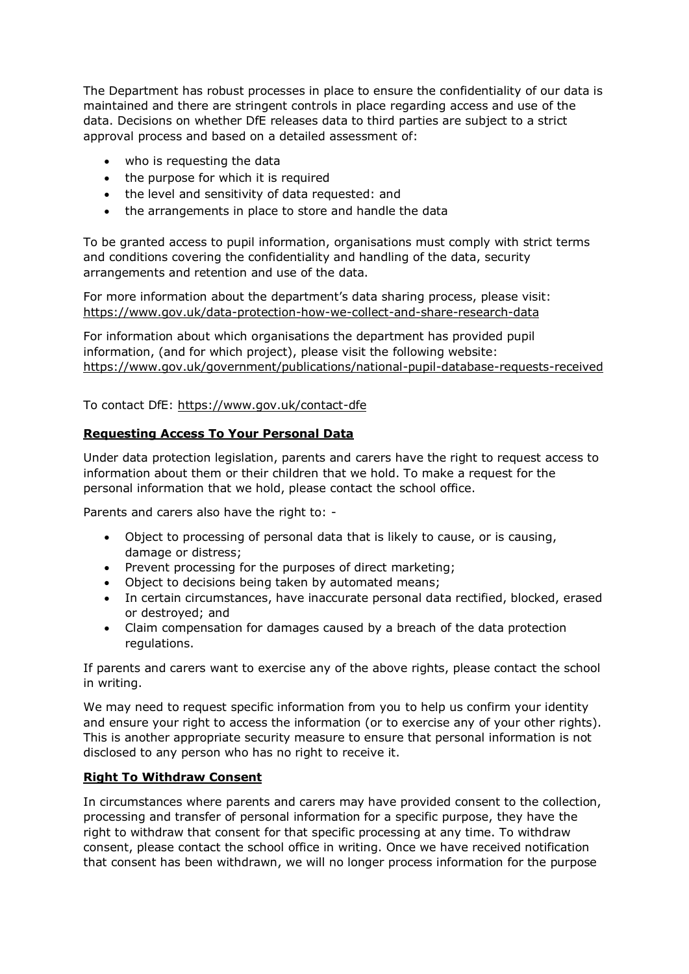The Department has robust processes in place to ensure the confidentiality of our data is maintained and there are stringent controls in place regarding access and use of the data. Decisions on whether DfE releases data to third parties are subject to a strict approval process and based on a detailed assessment of:

- who is requesting the data
- the purpose for which it is required
- the level and sensitivity of data requested: and
- the arrangements in place to store and handle the data

To be granted access to pupil information, organisations must comply with strict terms and conditions covering the confidentiality and handling of the data, security arrangements and retention and use of the data.

For more information about the department's data sharing process, please visit: <https://www.gov.uk/data-protection-how-we-collect-and-share-research-data>

For information about which organisations the department has provided pupil information, (and for which project), please visit the following website: <https://www.gov.uk/government/publications/national-pupil-database-requests-received>

To contact DfE:<https://www.gov.uk/contact-dfe>

#### **Requesting Access To Your Personal Data**

Under data protection legislation, parents and carers have the right to request access to information about them or their children that we hold. To make a request for the personal information that we hold, please contact the school office.

Parents and carers also have the right to: -

- Object to processing of personal data that is likely to cause, or is causing, damage or distress;
- Prevent processing for the purposes of direct marketing;
- Object to decisions being taken by automated means;
- In certain circumstances, have inaccurate personal data rectified, blocked, erased or destroyed; and
- Claim compensation for damages caused by a breach of the data protection regulations.

If parents and carers want to exercise any of the above rights, please contact the school in writing.

We may need to request specific information from you to help us confirm your identity and ensure your right to access the information (or to exercise any of your other rights). This is another appropriate security measure to ensure that personal information is not disclosed to any person who has no right to receive it.

#### **Right To Withdraw Consent**

In circumstances where parents and carers may have provided consent to the collection, processing and transfer of personal information for a specific purpose, they have the right to withdraw that consent for that specific processing at any time. To withdraw consent, please contact the school office in writing. Once we have received notification that consent has been withdrawn, we will no longer process information for the purpose